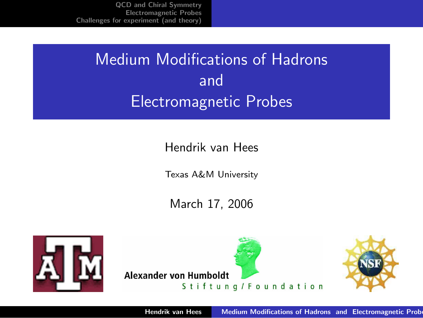# Medium Modifications of Hadrons and Electromagnetic Probes

Hendrik van Hees

Texas A&M University

March 17, 2006





<span id="page-0-0"></span>

Hendrik van Hees Medium Modifications of Hadrons and Electromagnetic Prob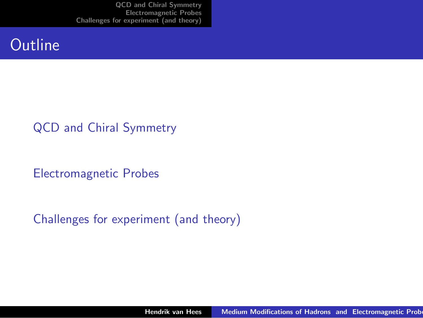### **Outline**

#### [QCD and Chiral Symmetry](#page-2-0)

[Electromagnetic Probes](#page-8-0)

#### [Challenges for experiment \(and theory\)](#page-35-0)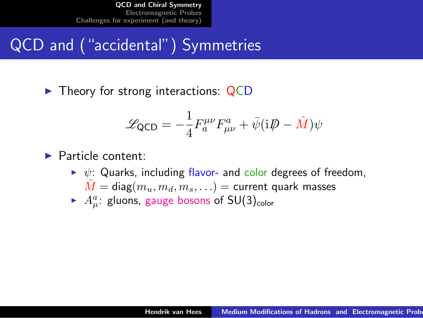# QCD and ("accidental") Symmetries

 $\blacktriangleright$  Theory for strong interactions: QCD

<span id="page-2-0"></span>
$$
\mathcal{L}_{\text{QCD}} = -\frac{1}{4} F_a^{\mu\nu} F_{\mu\nu}^a + \bar{\psi} (i\rlap{\,/}D - \hat{M}) \psi
$$

#### $\blacktriangleright$  Particle content:

- $\triangleright \psi$ : Quarks, including flavor- and color degrees of freedom,  $\hat{M} = \text{diag}(m_u, m_d, m_s, \ldots) = \text{current quark masses}$
- $\blacktriangleright$   $A^a_\mu$ : gluons, gauge bosons of SU(3)<sub>color</sub>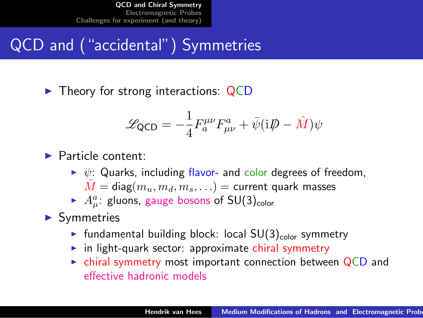# QCD and ("accidental") Symmetries

 $\blacktriangleright$  Theory for strong interactions: QCD

$$
\mathcal{L}_{\text{QCD}} = -\frac{1}{4} F_a^{\mu\nu} F_{\mu\nu}^a + \bar{\psi} (i\rlap{\,/}D - \hat{M}) \psi
$$

#### $\blacktriangleright$  Particle content:

- $\triangleright \psi$ : Quarks, including flavor- and color degrees of freedom,  $\hat{M} = \text{diag}(m_u, m_d, m_s, \ldots) = \text{current quark masses}$
- $\blacktriangleright$   $A^a_\mu$ : gluons, gauge bosons of SU(3)<sub>color</sub>

#### $\blacktriangleright$  Symmetries

- In fundamental building block: local  $SU(3)_{\text{color}}$  symmetry
- $\triangleright$  in light-quark sector: approximate chiral symmetry
- $\triangleright$  chiral symmetry most important connection between QCD and effective hadronic models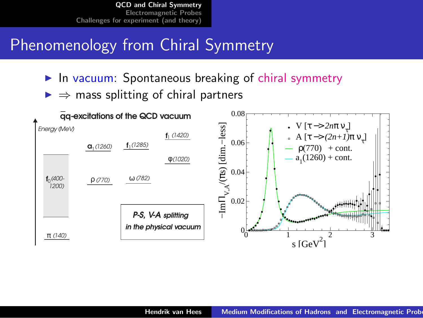## Phenomenology from Chiral Symmetry

- $\blacktriangleright$  In vacuum: Spontaneous breaking of chiral symmetry
- $\Rightarrow$  mass splitting of chiral partners

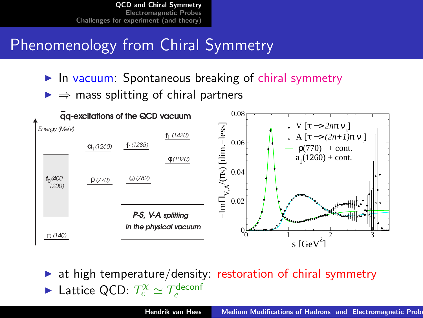# Phenomenology from Chiral Symmetry

- $\blacktriangleright$  In vacuum: Spontaneous breaking of chiral symmetry
- $\Rightarrow$  mass splitting of chiral partners



 $\triangleright$  at high temperature/density: restoration of chiral symmetry ► Lattice QCD:  $T_c^{\chi} \simeq T_c^{\text{deconf}}$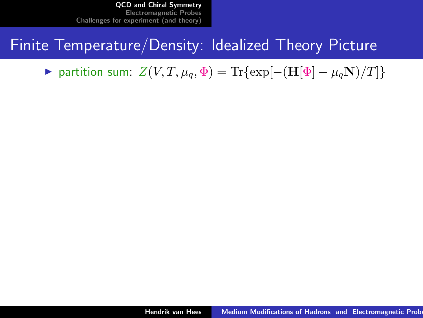## Finite Temperature/Density: Idealized Theory Picture

 $\triangleright$  partition sum:  $Z(V, T, \mu_q, \Phi) = \text{Tr}\{\exp[-(\mathbf{H}[\Phi] - \mu_q \mathbf{N})/T]\}$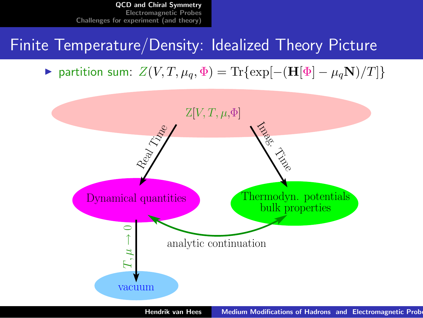## Finite Temperature/Density: Idealized Theory Picture

 $\triangleright$  partition sum:  $Z(V, T, \mu_q, \Phi) = \text{Tr}\{\exp[-(\mathbf{H}[\Phi] - \mu_q \mathbf{N})/T]\}$ 



Hendrik van Hees Medium Modifications of Hadrons and Electromagnetic Prob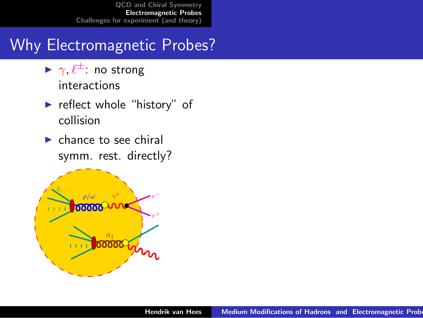# Why Electromagnetic Probes?

- $\blacktriangleright \gamma, \ell^{\pm}$  no strong interactions
- $\blacktriangleright$  reflect whole "history" of collision
- <span id="page-8-0"></span> $\blacktriangleright$  chance to see chiral symm. rest. directly?

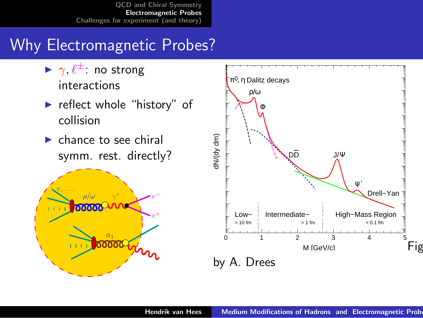# Why Electromagnetic Probes?

- $\blacktriangleright \gamma, \ell^{\pm}$  no strong interactions
- $\blacktriangleright$  reflect whole "history" of collision
- $\blacktriangleright$  chance to see chiral symm. rest. directly?



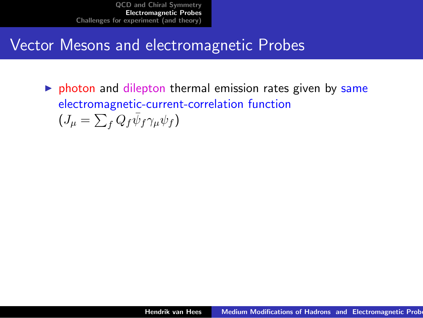### Vector Mesons and electromagnetic Probes

 $\triangleright$  photon and dilepton thermal emission rates given by same electromagnetic-current-correlation function  $(J_\mu = \sum_f Q_f \bar{\psi}_f \gamma_\mu \psi_f)$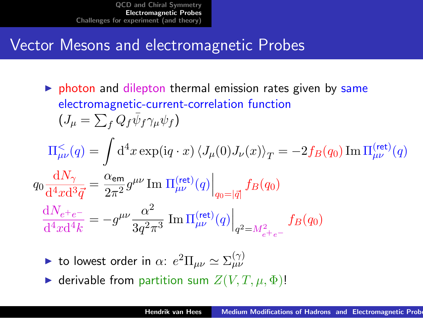## Vector Mesons and electromagnetic Probes

- $\triangleright$  photon and dilepton thermal emission rates given by same electromagnetic-current-correlation function  $(J_\mu = \sum_f Q_f \bar{\psi}_f \gamma_\mu \psi_f)$  $\Pi_{\mu\nu}^<(q) = \int\mathrm{d}^4x \exp(\mathrm{i} q\cdot x)\left\langle J_\mu(0)J_\nu(x)\right\rangle_T = -2f_B(q_0)\,\mathrm{Im}\,\Pi_{\mu\nu}^{\text{(ret)}}(q)$  $q_0 \frac{\mathrm{d}N_{\gamma}}{44 \pi \mathrm{d}^{5}}$  $\frac{\mathrm{d} N_{\gamma}}{\mathrm{d}^4 x \mathrm{d}^3 \vec{q}} = \frac{\alpha_{\sf em}}{2 \pi^2}$  $\left.\frac{\alpha_{\mathsf{em}}}{2\pi^2}g^{\mu\nu}\mathop{\mathrm{Im}}~ \Pi^{(\mathsf{ret})}_{\mu\nu}(q)\right|_{q_0=|\vec{q}|}f_B(q_0)$  $\mathrm{d}N_{e^+e^-}$  $\frac{\mathrm{d}N_{e^+e^-}}{\mathrm{d}^4x\mathrm{d}^4k} = -g^{\mu\nu}\frac{\alpha^2}{3q^2\tau}$  $\left.\frac{\alpha^2}{3 q^2 \pi^3} \; \text{Im}\, \Pi^{(\text{ret})}_{\mu\nu}(q) \right|_{q^2=M_{e^+e^-}^2}$  $f_B(q_0)$ 
	- ightharpoonup to lowest order in  $\alpha$ :  $e^2 \Pi_{\mu\nu} \simeq \Sigma_{\mu\nu}^{(\gamma)}$
	- $\blacktriangleright$  derivable from partition sum  $Z(V, T, \mu, \Phi)$ !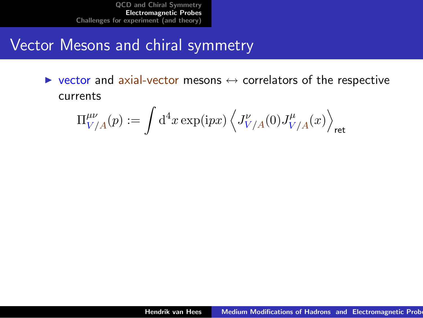### Vector Mesons and chiral symmetry

 $\triangleright$  vector and axial-vector mesons  $\leftrightarrow$  correlators of the respective currents

$$
\Pi^{\mu\nu}_{V/A}(p):=\int\mathrm{d}^4x\exp(\mathrm{i}p x)\left\langle J^{\nu}_{V/A}(0)J^{\mu}_{V/A}(x)\right\rangle_{\rm ret}
$$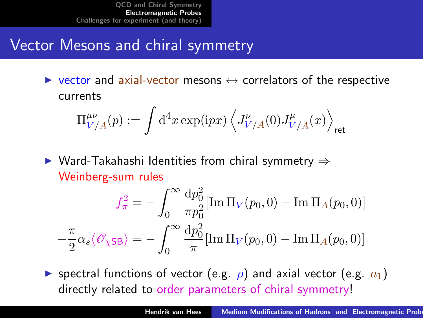## Vector Mesons and chiral symmetry

 $\triangleright$  vector and axial-vector mesons  $\leftrightarrow$  correlators of the respective currents

$$
\Pi^{\mu\nu}_{V/A}(p):=\int\mathrm{d}^4x\exp(\mathrm{i}p x)\left\langle J^{\nu}_{V/A}(0)J^{\mu}_{V/A}(x)\right\rangle_{\rm ret}
$$

 $\triangleright$  Ward-Takahashi Identities from chiral symmetry  $\Rightarrow$ Weinberg-sum rules

$$
f_{\pi}^2 = -\int_0^{\infty} \frac{\mathrm{d}p_0^2}{\pi p_0^2} [\text{Im}\,\Pi_V(p_0, 0) - \text{Im}\,\Pi_A(p_0, 0)]
$$

$$
-\frac{\pi}{2}\alpha_s \langle \mathscr{O}_{\chi \text{SB}} \rangle = -\int_0^{\infty} \frac{\mathrm{d}p_0^2}{\pi} [\text{Im}\,\Pi_V(p_0, 0) - \text{Im}\,\Pi_A(p_0, 0)]
$$

**If** spectral functions of vector (e.g.  $\rho$ ) and axial vector (e.g.  $a_1$ ) directly related to order parameters of chiral symmetry!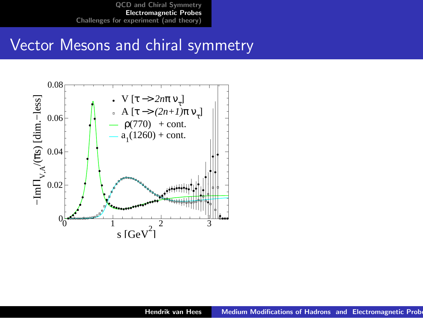#### Vector Mesons and chiral symmetry

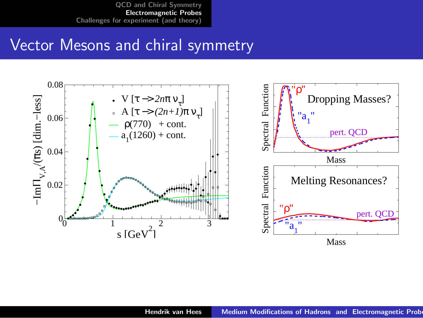### Vector Mesons and chiral symmetry

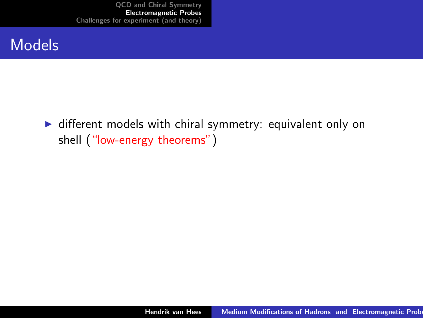#### Models

 $\triangleright$  different models with chiral symmetry: equivalent only on shell ("low-energy theorems")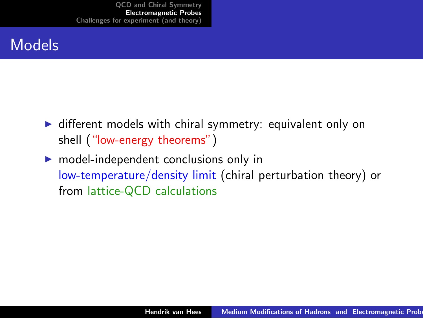- $\triangleright$  different models with chiral symmetry: equivalent only on shell ("low-energy theorems")
- $\triangleright$  model-independent conclusions only in low-temperature/density limit (chiral perturbation theory) or from lattice-QCD calculations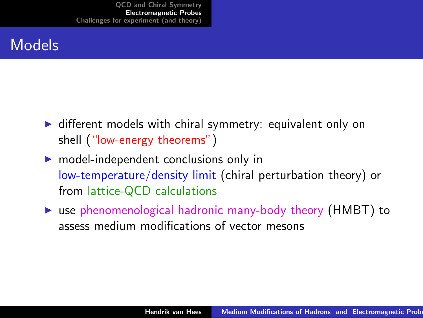- $\triangleright$  different models with chiral symmetry: equivalent only on shell ("low-energy theorems")
- $\triangleright$  model-independent conclusions only in low-temperature/density limit (chiral perturbation theory) or from lattice-QCD calculations
- $\triangleright$  use phenomenological hadronic many-body theory (HMBT) to assess medium modifications of vector mesons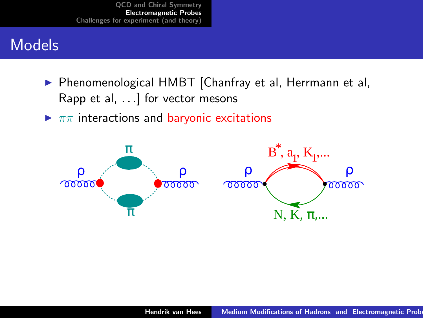- ▶ Phenomenological HMBT [Chanfray et al, Herrmann et al, Rapp et al, . . .] for vector mesons
- $\blacktriangleright \pi\pi$  interactions and baryonic excitations

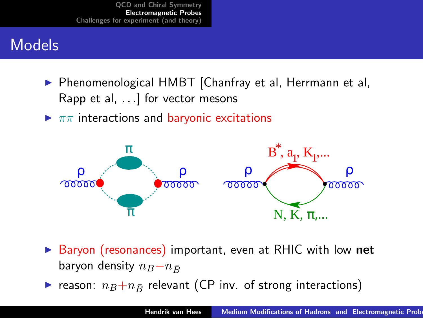- ▶ Phenomenological HMBT [Chanfray et al, Herrmann et al, Rapp et al, . . .] for vector mesons
- $\blacktriangleright \pi\pi$  interactions and baryonic excitations



- ▶ Baryon (resonances) important, even at RHIC with low net baryon density  $n_B-n_{\bar{B}}$
- reason:  $n_B+n_{\bar{B}}$  relevant (CP inv. of strong interactions)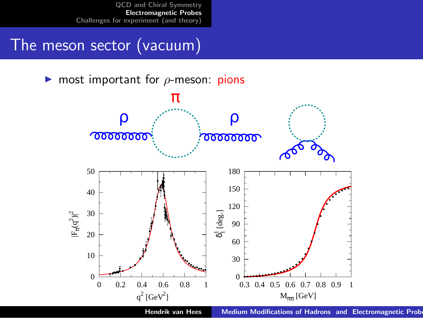## The meson sector (vacuum)

**In** most important for  $\rho$ -meson: pions



Hendrik van Hees Medium Modifications of Hadrons and Electromagnetic Prob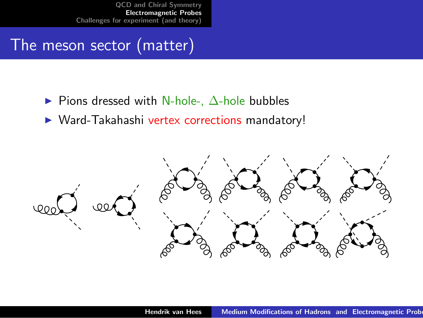## The meson sector (matter)

- $\triangleright$  Pions dressed with N-hole-,  $\Delta$ -hole bubbles
- ▶ Ward-Takahashi vertex corrections mandatory!

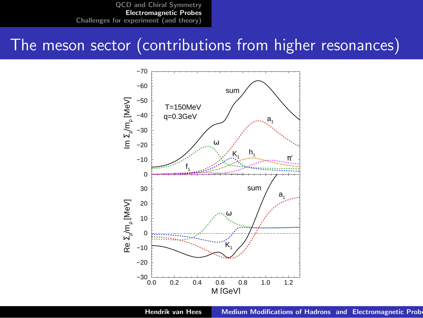#### The meson sector (contributions from higher resonances)



Hendrik van Hees Medium Modifications of Hadrons and Electromagnetic Prob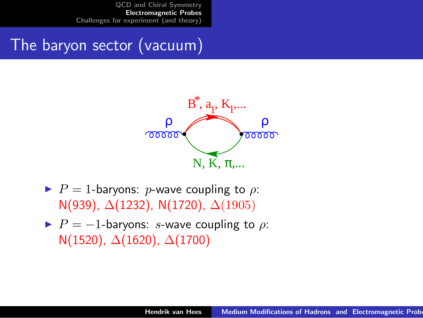# The baryon sector (vacuum)



- $\blacktriangleright$  P = 1-baryons: p-wave coupling to  $\rho$ : N(939), ∆(1232), N(1720), ∆(1905)
- $\blacktriangleright$   $P = -1$ -baryons: s-wave coupling to  $\rho$ : N(1520),  $\Delta$ (1620),  $\Delta$ (1700)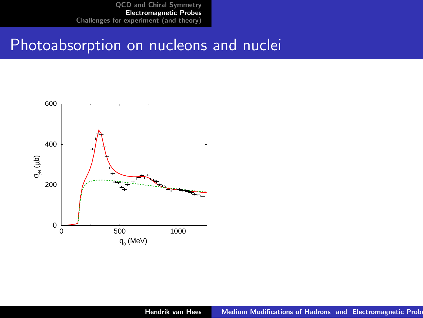#### Photoabsorption on nucleons and nuclei

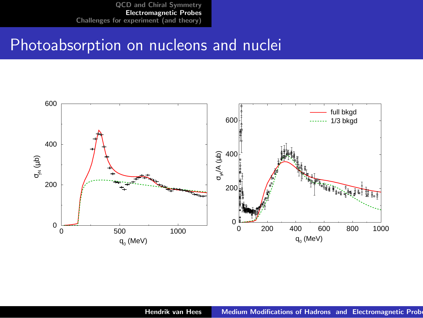#### Photoabsorption on nucleons and nuclei

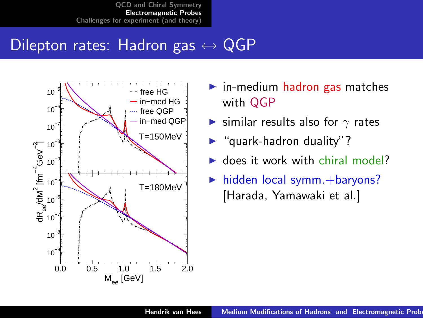## Dilepton rates: Hadron gas  $\leftrightarrow$  QGP



- $\blacktriangleright$  in-medium hadron gas matches with QGP
- $\triangleright$  similar results also for  $\gamma$  rates
- $\blacktriangleright$  "quark-hadron duality"?
- $\blacktriangleright$  does it work with chiral model?
- $\blacktriangleright$  hidden local symm. + baryons? [Harada, Yamawaki et al.]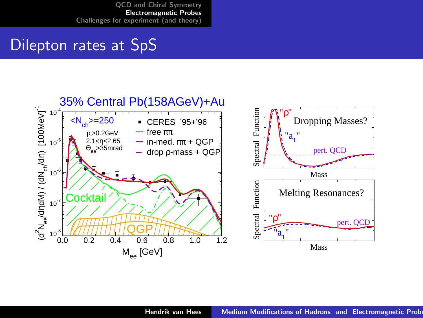#### Dilepton rates at SpS

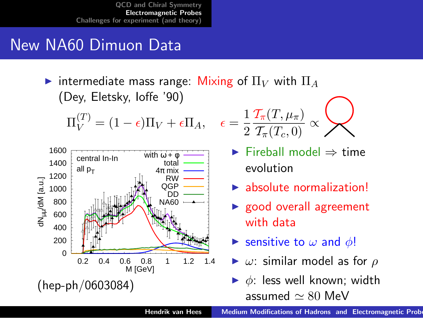## New NA60 Dimuon Data

intermediate mass range: Mixing of  $\Pi_V$  with  $\Pi_A$ (Dey, Eletsky, Ioffe '90)

$$
\Pi_V^{(T)} = (1 - \epsilon)\Pi_V + \epsilon \Pi_A, \quad \epsilon =
$$



$$
\epsilon = \frac{1}{2} \frac{\mathcal{T}_\pi(T,\mu_\pi)}{\mathcal{T}_\pi(T_c,0)} \propto \mathcal{D}
$$

- $\blacktriangleright$  Fireball model  $\Rightarrow$  time evolution
- $\blacktriangleright$  absolute normalization!
- $\blacktriangleright$  good overall agreement with data
- Sensitive to  $\omega$  and  $\phi$ !
- $\triangleright$   $\omega$ : similar model as for  $\rho$
- $\triangleright$   $\phi$ : less well known; width assumed  $\simeq 80$  MeV

Hendrik van Hees Medium Modifications of Hadrons and Electromagnetic Prob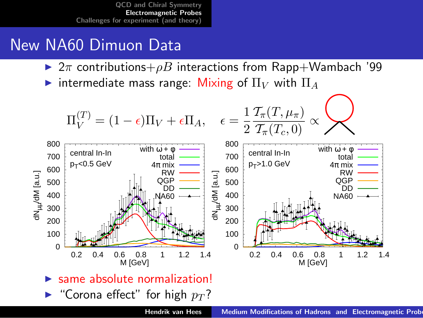- $\triangleright$  2π contributions+ $\rho B$  interactions from Rapp+Wambach '99
- intermediate mass range: Mixing of  $\Pi_V$  with  $\Pi_A$

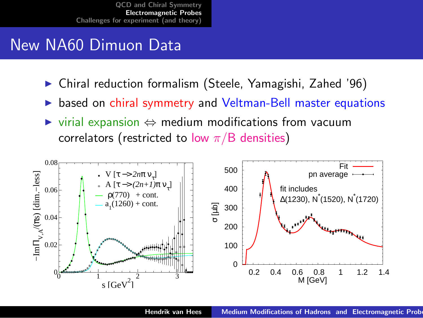- <sup>I</sup> Chiral reduction formalism (Steele, Yamagishi, Zahed '96)
- based on chiral symmetry and Veltman-Bell master equations
- $virial$  expansion  $\Leftrightarrow$  medium modifications from vacuum correlators (restricted to low  $\pi/B$  densities)

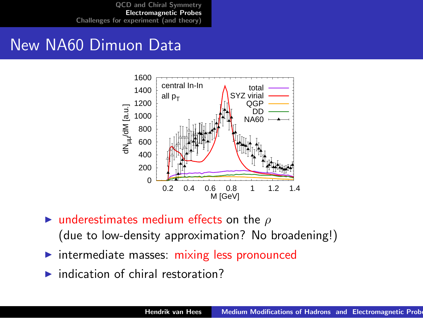

- $\triangleright$  underestimates medium effects on the  $\rho$ (due to low-density approximation? No broadening!)
- intermediate masses: mixing less pronounced
- $\blacktriangleright$  indication of chiral restoration?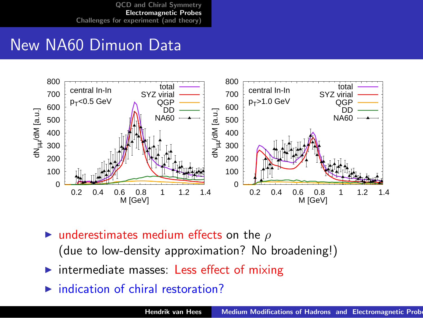

- $\blacktriangleright$  underestimates medium effects on the  $\rho$ (due to low-density approximation? No broadening!)
- intermediate masses: Less effect of mixing
- indication of chiral restoration?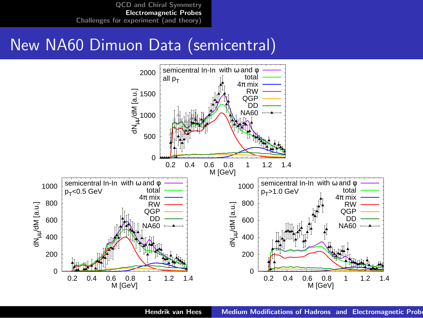#### New NA60 Dimuon Data (semicentral)

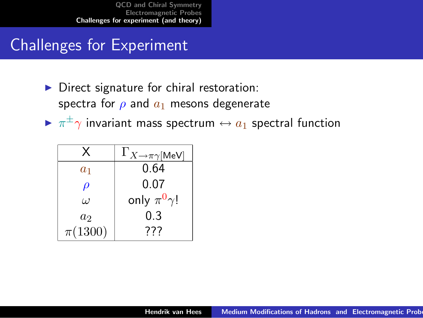# Challenges for Experiment

- $\triangleright$  Direct signature for chiral restoration: spectra for  $\rho$  and  $a_1$  mesons degenerate
- $\blacktriangleright$   $\pi^{\pm}\gamma$  invariant mass spectrum  $\leftrightarrow$   $a_1$  spectral function

<span id="page-35-0"></span>

| x           | $\Gamma_{X\to\pi\gamma[\textsf{MeV}]}$ |
|-------------|----------------------------------------|
| $a_1$       | 0.64                                   |
| $\rho$      | 0.07                                   |
| $\iota$     | only $\pi^0 \gamma$ !                  |
| $a_2$       | 0.3                                    |
| $\pi(1300)$ | 777                                    |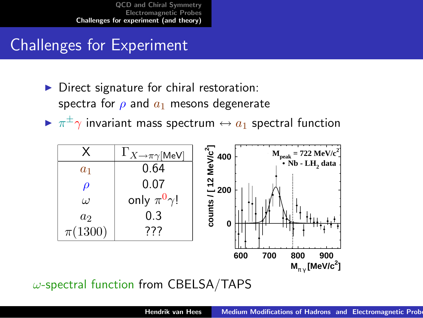# Challenges for Experiment

- Direct signature for chiral restoration: spectra for  $\rho$  and  $a_1$  mesons degenerate
- $\blacktriangleright$   $\pi^{\pm}\gamma$  invariant mass spectrum  $\leftrightarrow$   $a_1$  spectral function



 $\omega$ -spectral function from CBELSA/TAPS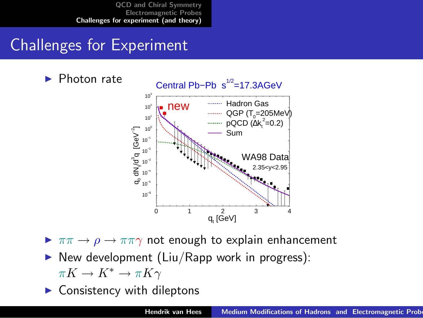# Challenges for Experiment



 $\triangleright \pi\pi \rightarrow \rho \rightarrow \pi\pi\gamma$  not enough to explain enhancement

 $\triangleright$  New development (Liu/Rapp work in progress):

 $\pi K \to K^* \to \pi K \gamma$ 

Consistency with dileptons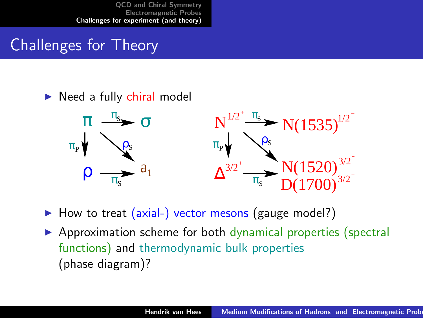# Challenges for Theory

#### $\triangleright$  Need a fully chiral model



 $\blacktriangleright$  How to treat (axial-) vector mesons (gauge model?)

 $\triangleright$  Approximation scheme for both dynamical properties (spectral functions) and thermodynamic bulk properties (phase diagram)?